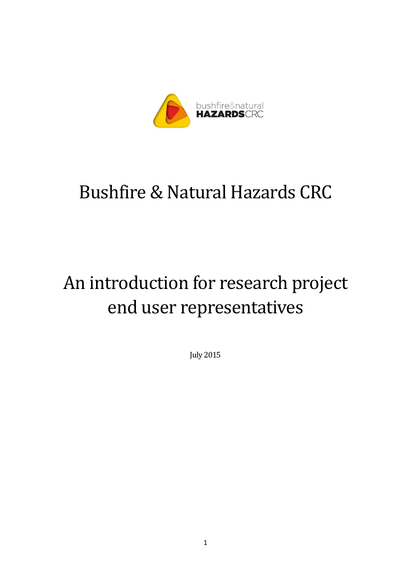

# Bushfire & Natural Hazards CRC

# An introduction for research project end user representatives

July 2015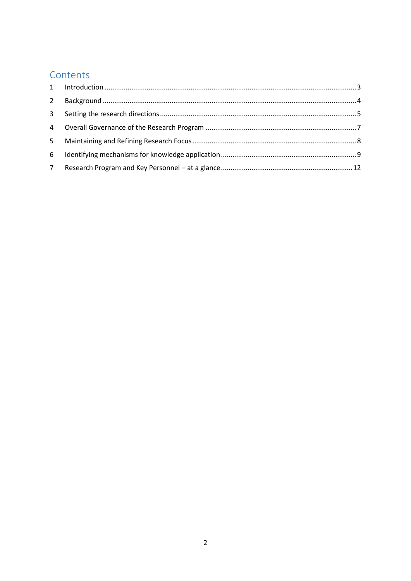# Contents

| $\overline{2}$ |  |
|----------------|--|
| $\mathbf{3}$   |  |
|                |  |
| 5 <sup>1</sup> |  |
| 6              |  |
| $7^{\circ}$    |  |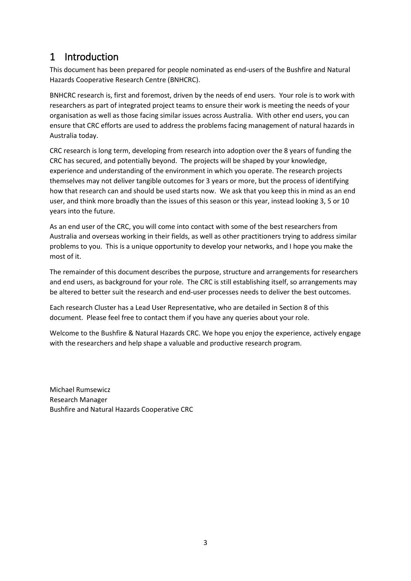### <span id="page-2-0"></span>1 Introduction

This document has been prepared for people nominated as end-users of the Bushfire and Natural Hazards Cooperative Research Centre (BNHCRC).

BNHCRC research is, first and foremost, driven by the needs of end users. Your role is to work with researchers as part of integrated project teams to ensure their work is meeting the needs of your organisation as well as those facing similar issues across Australia. With other end users, you can ensure that CRC efforts are used to address the problems facing management of natural hazards in Australia today.

CRC research is long term, developing from research into adoption over the 8 years of funding the CRC has secured, and potentially beyond. The projects will be shaped by your knowledge, experience and understanding of the environment in which you operate. The research projects themselves may not deliver tangible outcomes for 3 years or more, but the process of identifying how that research can and should be used starts now. We ask that you keep this in mind as an end user, and think more broadly than the issues of this season or this year, instead looking 3, 5 or 10 years into the future.

As an end user of the CRC, you will come into contact with some of the best researchers from Australia and overseas working in their fields, as well as other practitioners trying to address similar problems to you. This is a unique opportunity to develop your networks, and I hope you make the most of it.

The remainder of this document describes the purpose, structure and arrangements for researchers and end users, as background for your role. The CRC is still establishing itself, so arrangements may be altered to better suit the research and end-user processes needs to deliver the best outcomes.

Each research Cluster has a Lead User Representative, who are detailed in Section 8 of this document. Please feel free to contact them if you have any queries about your role.

Welcome to the Bushfire & Natural Hazards CRC. We hope you enjoy the experience, actively engage with the researchers and help shape a valuable and productive research program.

Michael Rumsewicz Research Manager Bushfire and Natural Hazards Cooperative CRC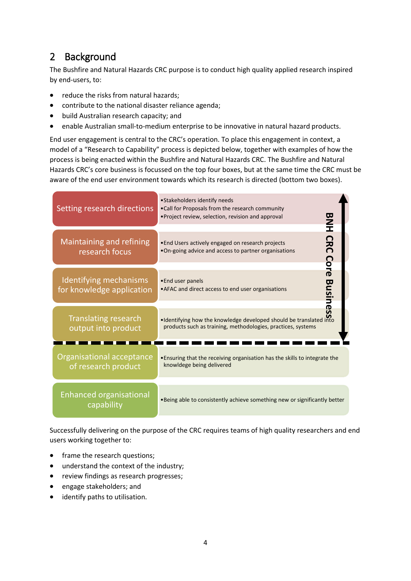# <span id="page-3-0"></span>2 Background

The Bushfire and Natural Hazards CRC purpose is to conduct high quality applied research inspired by end-users, to:

- reduce the risks from natural hazards;
- contribute to the national disaster reliance agenda;
- build Australian research capacity; and
- enable Australian small-to-medium enterprise to be innovative in natural hazard products.

End user engagement is central to the CRC's operation. To place this engagement in context, a model of a "Research to Capability" process is depicted below, together with examples of how the process is being enacted within the Bushfire and Natural Hazards CRC. The Bushfire and Natural Hazards CRC's core business is focussed on the top four boxes, but at the same time the CRC must be aware of the end user environment towards which its research is directed (bottom two boxes).

| Setting research directions                         | • Stakeholders identify needs<br>. Call for Proposals from the research community<br>• Project review, selection, revision and approval |  |  |
|-----------------------------------------------------|-----------------------------------------------------------------------------------------------------------------------------------------|--|--|
| Maintaining and refining<br>research focus          | <b>BNH CRC Core</b><br>• End Users actively engaged on research projects<br>. On-going advice and access to partner organisations       |  |  |
| Identifying mechanisms<br>for knowledge application | •End user panels<br>ළ<br>2<br>• AFAC and direct access to end user organisations<br><b>Isines</b>                                       |  |  |
| <b>Translating research</b><br>output into product  | . Identifying how the knowledge developed should be translated into<br>products such as training, methodologies, practices, systems     |  |  |
| Organisational acceptance<br>of research product    | . Ensuring that the receiving organisation has the skills to integrate the<br>knowldege being delivered                                 |  |  |
| <b>Enhanced organisational</b><br>capability        | . Being able to consistently achieve something new or significantly better                                                              |  |  |

Successfully delivering on the purpose of the CRC requires teams of high quality researchers and end users working together to:

- frame the research questions;
- understand the context of the industry;
- review findings as research progresses;
- engage stakeholders; and
- identify paths to utilisation.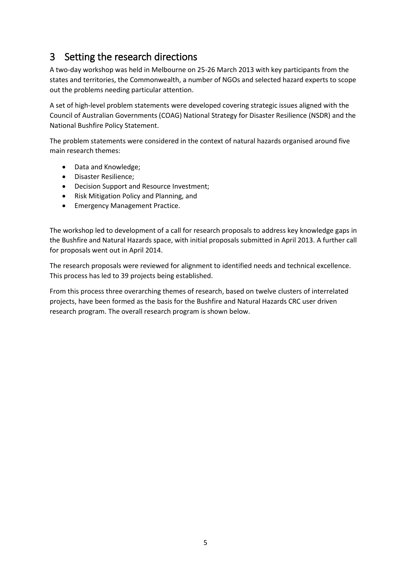# <span id="page-4-0"></span>3 Setting the research directions

A two-day workshop was held in Melbourne on 25-26 March 2013 with key participants from the states and territories, the Commonwealth, a number of NGOs and selected hazard experts to scope out the problems needing particular attention.

A set of high-level problem statements were developed covering strategic issues aligned with the Council of Australian Governments (COAG) National Strategy for Disaster Resilience (NSDR) and the National Bushfire Policy Statement.

The problem statements were considered in the context of natural hazards organised around five main research themes:

- Data and Knowledge;
- Disaster Resilience;
- Decision Support and Resource Investment;
- Risk Mitigation Policy and Planning, and
- Emergency Management Practice.

The workshop led to development of a call for research proposals to address key knowledge gaps in the Bushfire and Natural Hazards space, with initial proposals submitted in April 2013. A further call for proposals went out in April 2014.

The research proposals were reviewed for alignment to identified needs and technical excellence. This process has led to 39 projects being established.

From this process three overarching themes of research, based on twelve clusters of interrelated projects, have been formed as the basis for the Bushfire and Natural Hazards CRC user driven research program. The overall research program is shown below.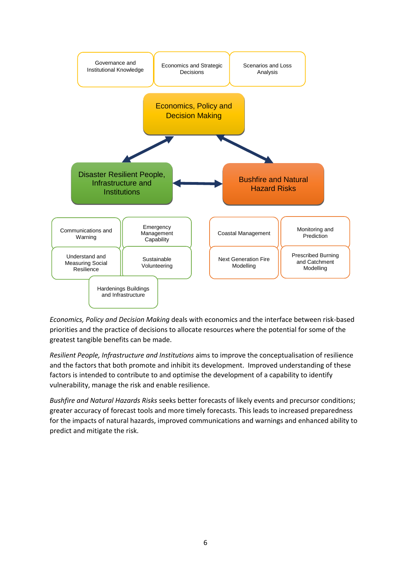

*Economics, Policy and Decision Making* deals with economics and the interface between risk-based priorities and the practice of decisions to allocate resources where the potential for some of the greatest tangible benefits can be made.

*Resilient People, Infrastructure and Institutions* aims to improve the conceptualisation of resilience and the factors that both promote and inhibit its development. Improved understanding of these factors is intended to contribute to and optimise the development of a capability to identify vulnerability, manage the risk and enable resilience.

*Bushfire and Natural Hazards Risks* seeks better forecasts of likely events and precursor conditions; greater accuracy of forecast tools and more timely forecasts. This leads to increased preparedness for the impacts of natural hazards, improved communications and warnings and enhanced ability to predict and mitigate the risk.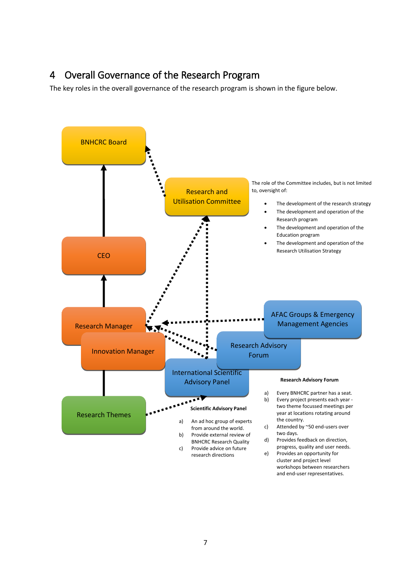#### <span id="page-6-0"></span>4 Overall Governance of the Research Program

The key roles in the overall governance of the research program is shown in the figure below.

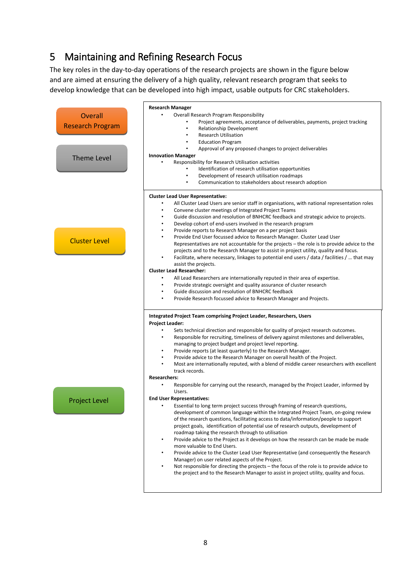# <span id="page-7-0"></span>5 Maintaining and Refining Research Focus

The key roles in the day-to-day operations of the research projects are shown in the figure below and are aimed at ensuring the delivery of a high quality, relevant research program that seeks to develop knowledge that can be developed into high impact, usable outputs for CRC stakeholders.

|                         | <b>Research Manager</b>                                                                                                                                                                    |  |  |  |
|-------------------------|--------------------------------------------------------------------------------------------------------------------------------------------------------------------------------------------|--|--|--|
| <b>Overall</b>          | Overall Research Program Responsibility                                                                                                                                                    |  |  |  |
|                         | Project agreements, acceptance of deliverables, payments, project tracking                                                                                                                 |  |  |  |
| <b>Research Program</b> | Relationship Development                                                                                                                                                                   |  |  |  |
|                         | <b>Research Utilisation</b>                                                                                                                                                                |  |  |  |
|                         | <b>Education Program</b>                                                                                                                                                                   |  |  |  |
|                         | Approval of any proposed changes to project deliverables                                                                                                                                   |  |  |  |
|                         | <b>Innovation Manager</b>                                                                                                                                                                  |  |  |  |
| <b>Theme Level</b>      | Responsibility for Research Utilisation activities                                                                                                                                         |  |  |  |
|                         | Identification of research utilisation opportunities                                                                                                                                       |  |  |  |
|                         | Development of research utilisation roadmaps                                                                                                                                               |  |  |  |
|                         | Communication to stakeholders about research adoption                                                                                                                                      |  |  |  |
|                         |                                                                                                                                                                                            |  |  |  |
|                         | <b>Cluster Lead User Representative:</b>                                                                                                                                                   |  |  |  |
|                         | All Cluster Lead Users are senior staff in organisations, with national representation roles                                                                                               |  |  |  |
|                         | Convene cluster meetings of Integrated Project Teams                                                                                                                                       |  |  |  |
|                         | Guide discussion and resolution of BNHCRC feedback and strategic advice to projects.                                                                                                       |  |  |  |
|                         | Develop cohort of end-users involved in the research program<br>٠                                                                                                                          |  |  |  |
|                         | Provide reports to Research Manager on a per project basis<br>٠                                                                                                                            |  |  |  |
|                         | Provide End User focussed advice to Research Manager. Cluster Lead User<br>$\bullet$                                                                                                       |  |  |  |
| <b>Cluster Level</b>    | Representatives are not accountable for the projects - the role is to provide advice to the                                                                                                |  |  |  |
|                         | projects and to the Research Manager to assist in project utility, quality and focus.                                                                                                      |  |  |  |
|                         | Facilitate, where necessary, linkages to potential end users / data / facilities /  that may                                                                                               |  |  |  |
|                         | assist the projects.                                                                                                                                                                       |  |  |  |
|                         | <b>Cluster Lead Researcher:</b>                                                                                                                                                            |  |  |  |
|                         | All Lead Researchers are internationally reputed in their area of expertise.                                                                                                               |  |  |  |
|                         | Provide strategic oversight and quality assurance of cluster research                                                                                                                      |  |  |  |
|                         | Guide discussion and resolution of BNHCRC feedback                                                                                                                                         |  |  |  |
|                         | Provide Research focussed advice to Research Manager and Projects.                                                                                                                         |  |  |  |
|                         |                                                                                                                                                                                            |  |  |  |
|                         | Integrated Project Team comprising Project Leader, Researchers, Users                                                                                                                      |  |  |  |
|                         | <b>Project Leader:</b>                                                                                                                                                                     |  |  |  |
|                         |                                                                                                                                                                                            |  |  |  |
|                         | Sets technical direction and responsible for quality of project research outcomes.<br>Responsible for recruiting, timeliness of delivery against milestones and deliverables,<br>$\bullet$ |  |  |  |
|                         |                                                                                                                                                                                            |  |  |  |
|                         | managing to project budget and project level reporting.                                                                                                                                    |  |  |  |
|                         | Provide reports (at least quarterly) to the Research Manager.<br>$\bullet$                                                                                                                 |  |  |  |
|                         | Provide advice to the Research Manager on overall health of the Project.                                                                                                                   |  |  |  |
|                         | Most are internationally reputed, with a blend of middle career researchers with excellent<br>track records.                                                                               |  |  |  |
|                         | <b>Researchers:</b>                                                                                                                                                                        |  |  |  |
|                         | Responsible for carrying out the research, managed by the Project Leader, informed by                                                                                                      |  |  |  |
|                         | Users.                                                                                                                                                                                     |  |  |  |
|                         | <b>End User Representatives:</b>                                                                                                                                                           |  |  |  |
| <b>Project Level</b>    | Essential to long term project success through framing of research questions,                                                                                                              |  |  |  |
|                         | development of common language within the Integrated Project Team, on-going review                                                                                                         |  |  |  |
|                         | of the research questions, facilitating access to data/information/people to support                                                                                                       |  |  |  |
|                         | project goals, identification of potential use of research outputs, development of                                                                                                         |  |  |  |
|                         | roadmap taking the research through to utilisation                                                                                                                                         |  |  |  |
|                         | Provide advice to the Project as it develops on how the research can be made be made<br>$\bullet$                                                                                          |  |  |  |
|                         | more valuable to End Users.                                                                                                                                                                |  |  |  |
|                         | Provide advice to the Cluster Lead User Representative (and consequently the Research<br>$\bullet$                                                                                         |  |  |  |
|                         | Manager) on user related aspects of the Project.                                                                                                                                           |  |  |  |
|                         | Not responsible for directing the projects - the focus of the role is to provide advice to                                                                                                 |  |  |  |
|                         | the project and to the Research Manager to assist in project utility, quality and focus.                                                                                                   |  |  |  |
|                         |                                                                                                                                                                                            |  |  |  |
|                         |                                                                                                                                                                                            |  |  |  |
|                         |                                                                                                                                                                                            |  |  |  |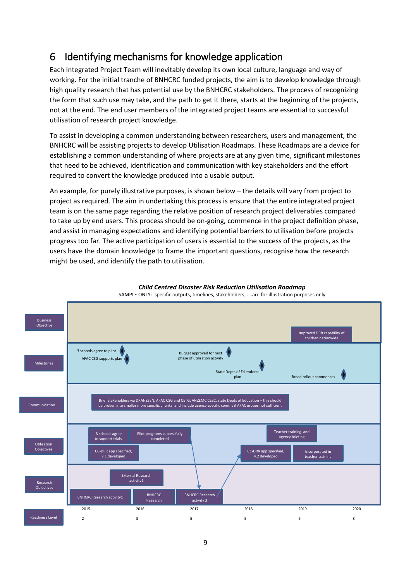### <span id="page-8-0"></span>6 Identifying mechanisms for knowledge application

Each Integrated Project Team will inevitably develop its own local culture, language and way of working. For the initial tranche of BNHCRC funded projects, the aim is to develop knowledge through high quality research that has potential use by the BNHCRC stakeholders. The process of recognizing the form that such use may take, and the path to get it there, starts at the beginning of the projects, not at the end. The end user members of the integrated project teams are essential to successful utilisation of research project knowledge.

To assist in developing a common understanding between researchers, users and management, the BNHCRC will be assisting projects to develop Utilisation Roadmaps. These Roadmaps are a device for establishing a common understanding of where projects are at any given time, significant milestones that need to be achieved, identification and communication with key stakeholders and the effort required to convert the knowledge produced into a usable output.

An example, for purely illustrative purposes, is shown below – the details will vary from project to project as required. The aim in undertaking this process is ensure that the entire integrated project team is on the same page regarding the relative position of research project deliverables compared to take up by end users. This process should be on-going, commence in the project definition phase, and assist in managing expectations and identifying potential barriers to utilisation before projects progress too far. The active participation of users is essential to the success of the projects, as the users have the domain knowledge to frame the important questions, recognise how the research might be used, and identify the path to utilisation.



*Child Centred Disaster Risk Reduction Utilisation Roadmap* SAMPLE ONLY: specific outputs, timelines, stakeholders, ….are for illustration purposes only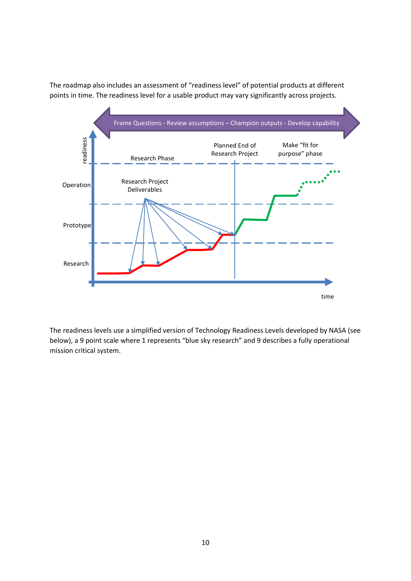

The roadmap also includes an assessment of "readiness level" of potential products at different points in time. The readiness level for a usable product may vary significantly across projects.

The readiness levels use a simplified version of Technology Readiness Levels developed by NASA (see below), a 9 point scale where 1 represents "blue sky research" and 9 describes a fully operational mission critical system.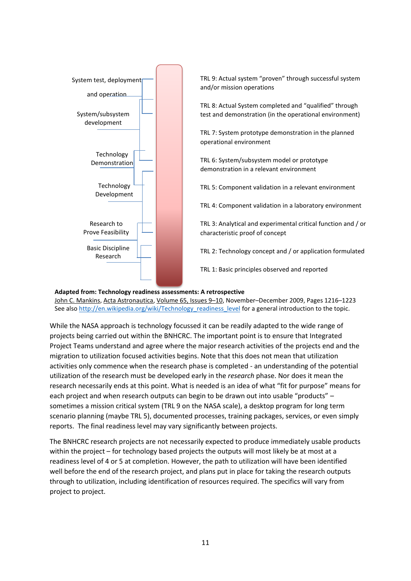

#### **Adapted from: Technology readiness assessments: A retrospective**

[John C. Mankins,](http://www.sciencedirect.com/science/article/pii/S0094576509002008) [Acta](http://www.sciencedirect.com/science/journal/00945765) [Astronautica,](http://www.sciencedirect.com/science/journal/00945765) [Volume 65, Issues 9](http://www.sciencedirect.com/science/journal/00945765/65/9)–10, November–December 2009, Pages 1216–1223 See als[o http://en.wikipedia.org/wiki/Technology\\_readiness\\_level](http://en.wikipedia.org/wiki/Technology_readiness_level) for a general introduction to the topic.

While the NASA approach is technology focussed it can be readily adapted to the wide range of projects being carried out within the BNHCRC. The important point is to ensure that Integrated Project Teams understand and agree where the major research activities of the projects end and the migration to utilization focused activities begins. Note that this does not mean that utilization activities only commence when the research phase is completed - an understanding of the potential utilization of the research must be developed early in the *research* phase. Nor does it mean the research necessarily ends at this point. What is needed is an idea of what "fit for purpose" means for each project and when research outputs can begin to be drawn out into usable "products" – sometimes a mission critical system (TRL 9 on the NASA scale), a desktop program for long term scenario planning (maybe TRL 5), documented processes, training packages, services, or even simply reports. The final readiness level may vary significantly between projects.

The BNHCRC research projects are not necessarily expected to produce immediately usable products within the project – for technology based projects the outputs will most likely be at most at a readiness level of 4 or 5 at completion. However, the path to utilization will have been identified well before the end of the research project, and plans put in place for taking the research outputs through to utilization, including identification of resources required. The specifics will vary from project to project.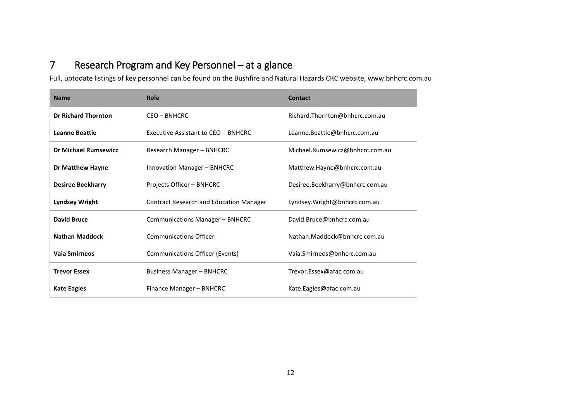# 7 Research Program and Key Personnel – at a glance

Full, uptodate listings of key personnel can be found on the Bushfire and Natural Hazards CRC website, www.bnhcrc.com.au

<span id="page-11-0"></span>

| <b>Name</b>                 | Role                                           | <b>Contact</b>                  |  |
|-----------------------------|------------------------------------------------|---------------------------------|--|
| <b>Dr Richard Thornton</b>  | CEO - BNHCRC                                   | Richard.Thornton@bnhcrc.com.au  |  |
| <b>Leanne Beattie</b>       | Executive Assistant to CEO - BNHCRC            | Leanne.Beattie@bnhcrc.com.au    |  |
| <b>Dr Michael Rumsewicz</b> | Research Manager - BNHCRC                      | Michael.Rumsewicz@bnhcrc.com.au |  |
| Dr Matthew Hayne            | Innovation Manager - BNHCRC                    | Matthew.Hayne@bnhcrc.com.au     |  |
| <b>Desiree Beekharry</b>    | Projects Officer - BNHCRC                      | Desiree.Beekharry@bnhcrc.com.au |  |
| <b>Lyndsey Wright</b>       | <b>Contract Research and Education Manager</b> | Lyndsey.Wright@bnhcrc.com.au    |  |
| <b>David Bruce</b>          | Communications Manager - BNHCRC                | David.Bruce@bnhcrc.com.au       |  |
| <b>Nathan Maddock</b>       | <b>Communications Officer</b>                  | Nathan.Maddock@bnhcrc.com.au    |  |
| Vaia Smirneos               | <b>Communications Officer (Events)</b>         | Vaia.Smirneos@bnhcrc.com.au     |  |
| <b>Trevor Essex</b>         | <b>Business Manager - BNHCRC</b>               | Trevor.Essex@afac.com.au        |  |
| <b>Kate Eagles</b>          | Finance Manager - BNHCRC                       | Kate.Eagles@afac.com.au         |  |